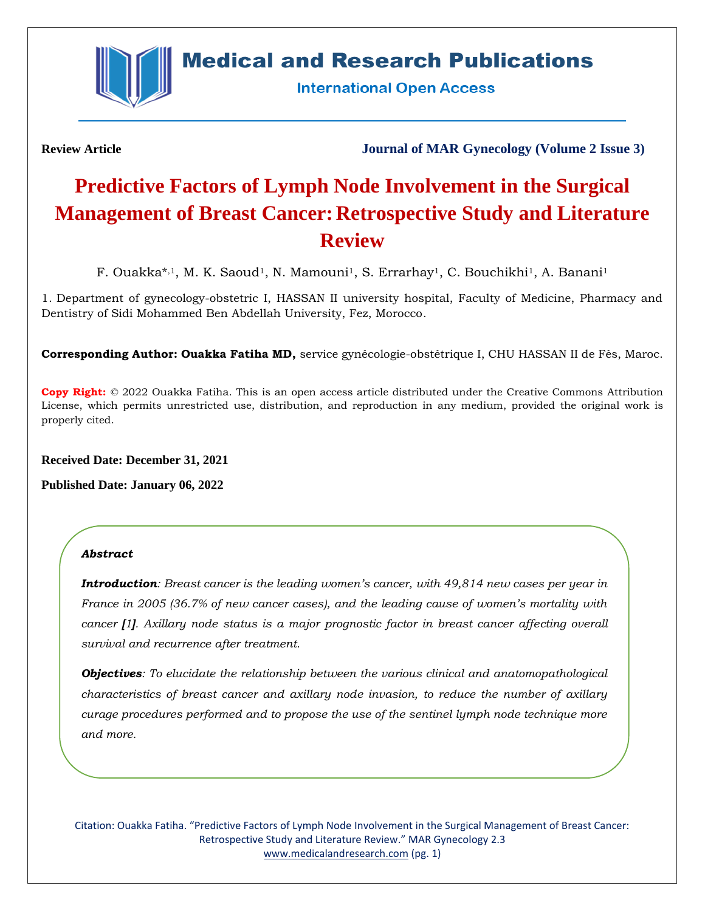

# **Medical and Research Publications**

**International Open Access** 

**Review Article Journal of MAR Gynecology (Volume 2 Issue 3)**

# **Predictive Factors of Lymph Node Involvement in the Surgical Management of Breast Cancer: Retrospective Study and Literature Review**

F. Ouakka\*,<sup>1</sup>, M. K. Saoud<sup>1</sup>, N. Mamouni<sup>1</sup>, S. Errarhay<sup>1</sup>, C. Bouchikhi<sup>1</sup>, A. Banani<sup>1</sup>

1. Department of gynecology-obstetric I, HASSAN II university hospital, Faculty of Medicine, Pharmacy and Dentistry of Sidi Mohammed Ben Abdellah University, Fez, Morocco.

**Corresponding Author: Ouakka Fatiha MD,** service gynécologie-obstétrique I, CHU HASSAN II de Fès, Maroc.

**Copy Right:** © 2022 Ouakka Fatiha. This is an open access article distributed under the Creative Commons Attribution License, which permits unrestricted use, distribution, and reproduction in any medium, provided the original work is properly cited.

**Received Date: December 31, 2021**

**Published Date: January 06, 2022**

# *Abstract*

*Introduction: Breast cancer is the leading women's cancer, with 49,814 new cases per year in France in 2005 (36.7% of new cancer cases), and the leading cause of women's mortality with cancer [1]. Axillary node status is a major prognostic factor in breast cancer affecting overall survival and recurrence after treatment.*

*Objectives: To elucidate the relationship between the various clinical and anatomopathological characteristics of breast cancer and axillary node invasion, to reduce the number of axillary curage procedures performed and to propose the use of the sentinel lymph node technique more and more.*

Citation: Ouakka Fatiha. "Predictive Factors of Lymph Node Involvement in the Surgical Management of Breast Cancer: Retrospective Study and Literature Review." MAR Gynecology 2.3 [www.medicalandresearch.com](http://www.medicalandresearch.com/) (pg. 1)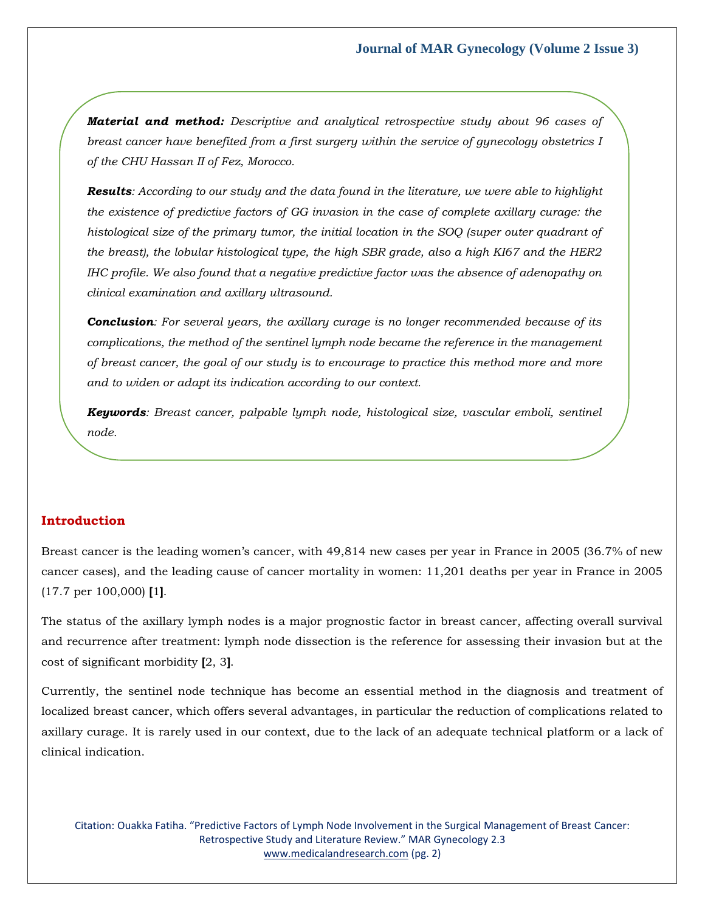*Material and method: Descriptive and analytical retrospective study about 96 cases of breast cancer have benefited from a first surgery within the service of gynecology obstetrics I of the CHU Hassan II of Fez, Morocco.* 

*Results: According to our study and the data found in the literature, we were able to highlight the existence of predictive factors of GG invasion in the case of complete axillary curage: the histological size of the primary tumor, the initial location in the SOQ (super outer quadrant of the breast), the lobular histological type, the high SBR grade, also a high KI67 and the HER2 IHC profile. We also found that a negative predictive factor was the absence of adenopathy on clinical examination and axillary ultrasound.* 

*Conclusion: For several years, the axillary curage is no longer recommended because of its complications, the method of the sentinel lymph node became the reference in the management of breast cancer, the goal of our study is to encourage to practice this method more and more and to widen or adapt its indication according to our context.* 

*Keywords: Breast cancer, palpable lymph node, histological size, vascular emboli, sentinel node.*

### **Introduction**

Breast cancer is the leading women's cancer, with 49,814 new cases per year in France in 2005 (36.7% of new cancer cases), and the leading cause of cancer mortality in women: 11,201 deaths per year in France in 2005 (17.7 per 100,000) **[**1**]**.

The status of the axillary lymph nodes is a major prognostic factor in breast cancer, affecting overall survival and recurrence after treatment: lymph node dissection is the reference for assessing their invasion but at the cost of significant morbidity **[**2, 3**]**.

Currently, the sentinel node technique has become an essential method in the diagnosis and treatment of localized breast cancer, which offers several advantages, in particular the reduction of complications related to axillary curage. It is rarely used in our context, due to the lack of an adequate technical platform or a lack of clinical indication.

Citation: Ouakka Fatiha. "Predictive Factors of Lymph Node Involvement in the Surgical Management of Breast Cancer: Retrospective Study and Literature Review." MAR Gynecology 2.3 [www.medicalandresearch.com](http://www.medicalandresearch.com/) (pg. 2)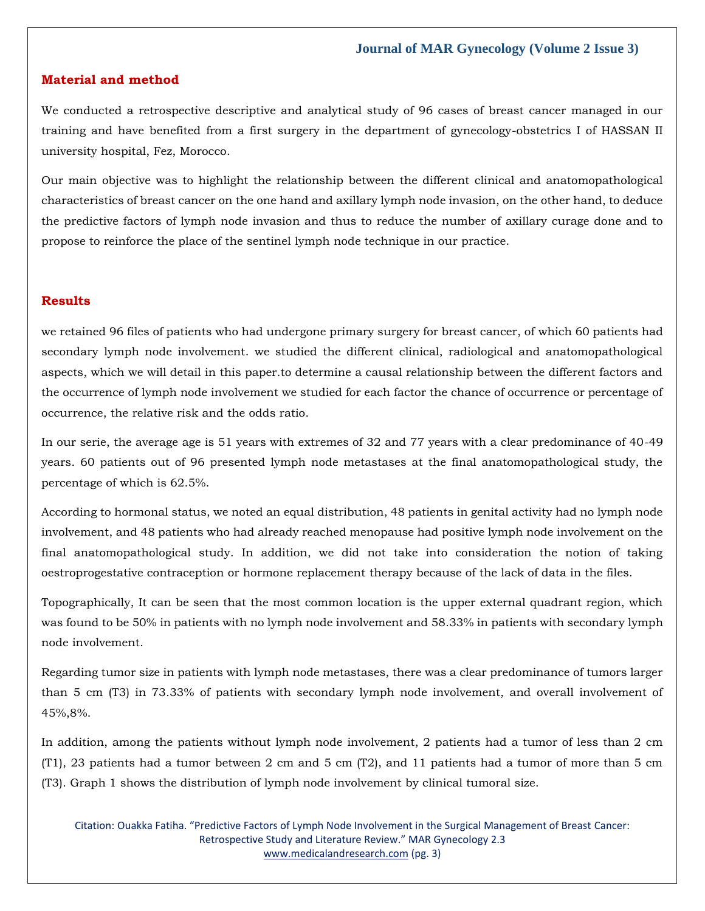#### **Material and method**

We conducted a retrospective descriptive and analytical study of 96 cases of breast cancer managed in our training and have benefited from a first surgery in the department of gynecology-obstetrics I of HASSAN II university hospital, Fez, Morocco.

Our main objective was to highlight the relationship between the different clinical and anatomopathological characteristics of breast cancer on the one hand and axillary lymph node invasion, on the other hand, to deduce the predictive factors of lymph node invasion and thus to reduce the number of axillary curage done and to propose to reinforce the place of the sentinel lymph node technique in our practice.

#### **Results**

we retained 96 files of patients who had undergone primary surgery for breast cancer, of which 60 patients had secondary lymph node involvement. we studied the different clinical, radiological and anatomopathological aspects, which we will detail in this paper.to determine a causal relationship between the different factors and the occurrence of lymph node involvement we studied for each factor the chance of occurrence or percentage of occurrence, the relative risk and the odds ratio.

In our serie, the average age is 51 years with extremes of 32 and 77 years with a clear predominance of 40-49 years. 60 patients out of 96 presented lymph node metastases at the final anatomopathological study, the percentage of which is 62.5%.

According to hormonal status, we noted an equal distribution, 48 patients in genital activity had no lymph node involvement, and 48 patients who had already reached menopause had positive lymph node involvement on the final anatomopathological study. In addition, we did not take into consideration the notion of taking oestroprogestative contraception or hormone replacement therapy because of the lack of data in the files.

Topographically, It can be seen that the most common location is the upper external quadrant region, which was found to be 50% in patients with no lymph node involvement and 58.33% in patients with secondary lymph node involvement.

Regarding tumor size in patients with lymph node metastases, there was a clear predominance of tumors larger than 5 cm (T3) in 73.33% of patients with secondary lymph node involvement, and overall involvement of 45%,8%.

In addition, among the patients without lymph node involvement, 2 patients had a tumor of less than 2 cm (T1), 23 patients had a tumor between 2 cm and 5 cm (T2), and 11 patients had a tumor of more than 5 cm (T3). Graph 1 shows the distribution of lymph node involvement by clinical tumoral size.

Citation: Ouakka Fatiha. "Predictive Factors of Lymph Node Involvement in the Surgical Management of Breast Cancer: Retrospective Study and Literature Review." MAR Gynecology 2.3 [www.medicalandresearch.com](http://www.medicalandresearch.com/) (pg. 3)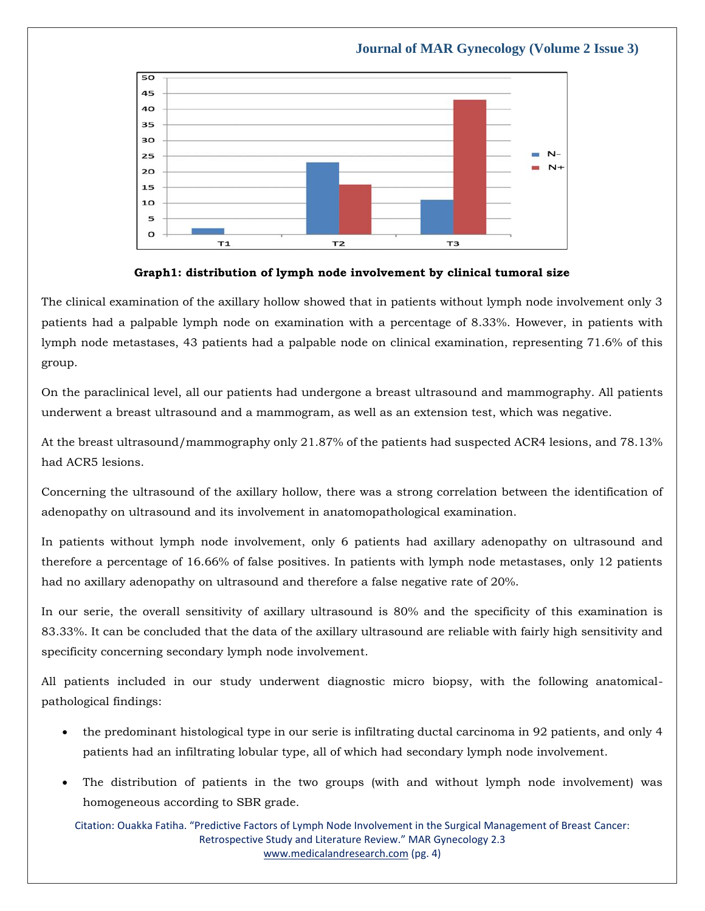#### 50 45  $40$ 35 30  $N-$ 25 **COL**  $N+$  $20$ 15  $10$ 5  $\Omega$ T1  $T<sub>2</sub>$ TЗ

# **Journal of MAR Gynecology (Volume 2 Issue 3)**



The clinical examination of the axillary hollow showed that in patients without lymph node involvement only 3 patients had a palpable lymph node on examination with a percentage of 8.33%. However, in patients with lymph node metastases, 43 patients had a palpable node on clinical examination, representing 71.6% of this group.

On the paraclinical level, all our patients had undergone a breast ultrasound and mammography. All patients underwent a breast ultrasound and a mammogram, as well as an extension test, which was negative.

At the breast ultrasound/mammography only 21.87% of the patients had suspected ACR4 lesions, and 78.13% had ACR5 lesions.

Concerning the ultrasound of the axillary hollow, there was a strong correlation between the identification of adenopathy on ultrasound and its involvement in anatomopathological examination.

In patients without lymph node involvement, only 6 patients had axillary adenopathy on ultrasound and therefore a percentage of 16.66% of false positives. In patients with lymph node metastases, only 12 patients had no axillary adenopathy on ultrasound and therefore a false negative rate of 20%.

In our serie, the overall sensitivity of axillary ultrasound is 80% and the specificity of this examination is 83.33%. It can be concluded that the data of the axillary ultrasound are reliable with fairly high sensitivity and specificity concerning secondary lymph node involvement.

All patients included in our study underwent diagnostic micro biopsy, with the following anatomicalpathological findings:

- the predominant histological type in our serie is infiltrating ductal carcinoma in 92 patients, and only 4 patients had an infiltrating lobular type, all of which had secondary lymph node involvement.
- The distribution of patients in the two groups (with and without lymph node involvement) was homogeneous according to SBR grade.

Citation: Ouakka Fatiha. "Predictive Factors of Lymph Node Involvement in the Surgical Management of Breast Cancer: Retrospective Study and Literature Review." MAR Gynecology 2.3 [www.medicalandresearch.com](http://www.medicalandresearch.com/) (pg. 4)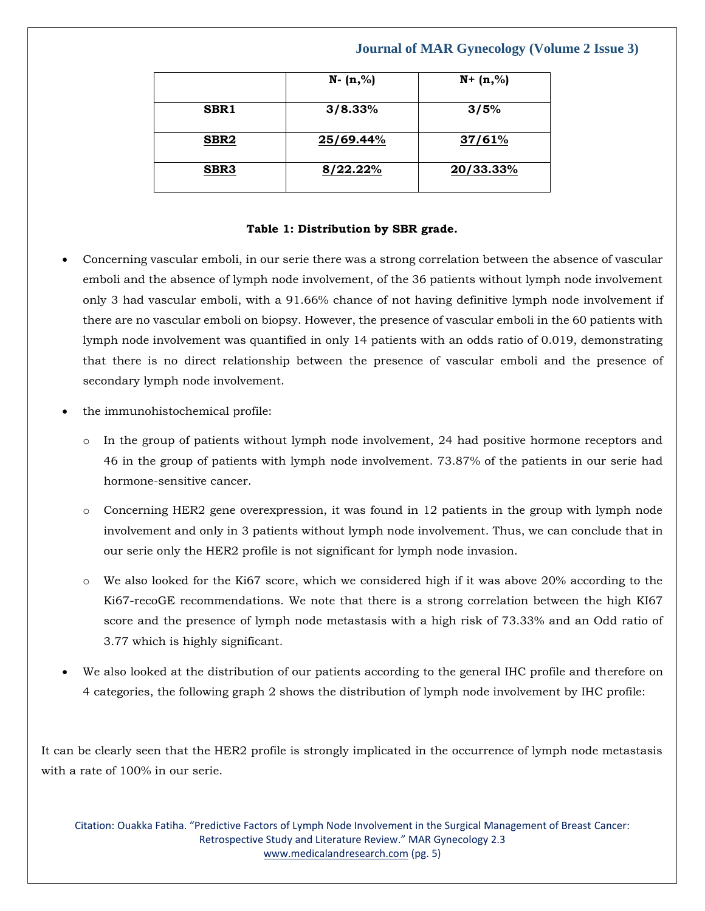|                  | $N - (n, %)$ | $N + (n,%)$ |
|------------------|--------------|-------------|
| SBR1             | 3/8.33%      | 3/5%        |
| SBR <sub>2</sub> | 25/69.44%    | 37/61%      |
| SBR <sub>3</sub> | 8/22.22%     | 20/33.33%   |

#### **Table 1: Distribution by SBR grade.**

- Concerning vascular emboli, in our serie there was a strong correlation between the absence of vascular emboli and the absence of lymph node involvement, of the 36 patients without lymph node involvement only 3 had vascular emboli, with a 91.66% chance of not having definitive lymph node involvement if there are no vascular emboli on biopsy. However, the presence of vascular emboli in the 60 patients with lymph node involvement was quantified in only 14 patients with an odds ratio of 0.019, demonstrating that there is no direct relationship between the presence of vascular emboli and the presence of secondary lymph node involvement.
- the immunohistochemical profile:
	- o In the group of patients without lymph node involvement, 24 had positive hormone receptors and 46 in the group of patients with lymph node involvement. 73.87% of the patients in our serie had hormone-sensitive cancer.
	- o Concerning HER2 gene overexpression, it was found in 12 patients in the group with lymph node involvement and only in 3 patients without lymph node involvement. Thus, we can conclude that in our serie only the HER2 profile is not significant for lymph node invasion.
	- o We also looked for the Ki67 score, which we considered high if it was above 20% according to the Ki67-recoGE recommendations. We note that there is a strong correlation between the high KI67 score and the presence of lymph node metastasis with a high risk of 73.33% and an Odd ratio of 3.77 which is highly significant.
- We also looked at the distribution of our patients according to the general IHC profile and therefore on 4 categories, the following graph 2 shows the distribution of lymph node involvement by IHC profile:

It can be clearly seen that the HER2 profile is strongly implicated in the occurrence of lymph node metastasis with a rate of 100% in our serie.

Citation: Ouakka Fatiha. "Predictive Factors of Lymph Node Involvement in the Surgical Management of Breast Cancer: Retrospective Study and Literature Review." MAR Gynecology 2.3 [www.medicalandresearch.com](http://www.medicalandresearch.com/) (pg. 5)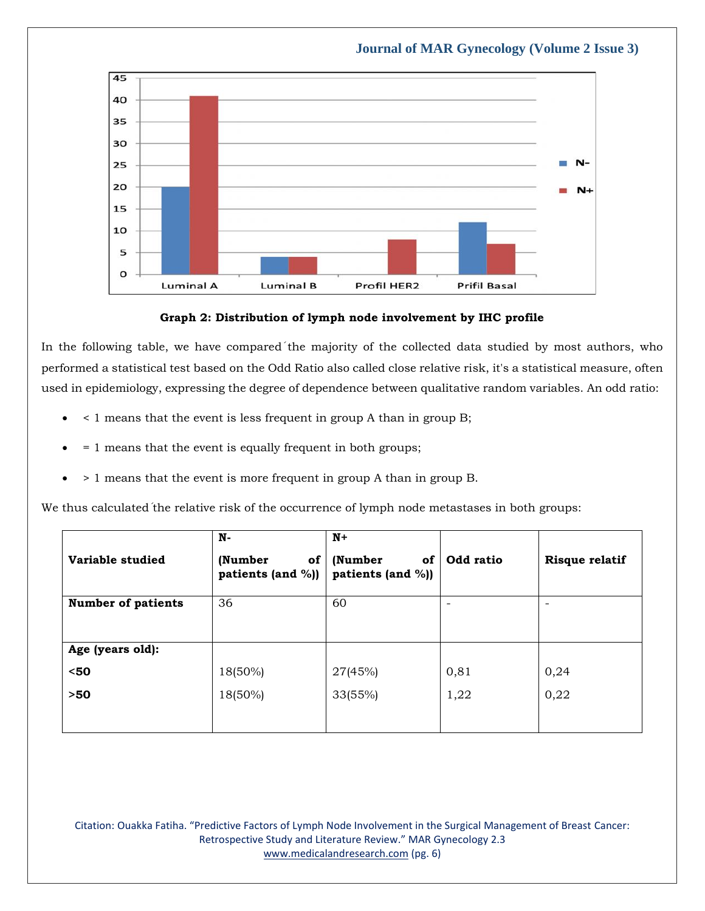



In the following table, we have compared the majority of the collected data studied by most authors, who performed a statistical test based on the Odd Ratio also called close relative risk, it's a statistical measure, often used in epidemiology, expressing the degree of dependence between qualitative random variables. An odd ratio:

- < 1 means that the event is less frequent in group A than in group B;
- = 1 means that the event is equally frequent in both groups;
- > 1 means that the event is more frequent in group A than in group B.

We thus calculated the relative risk of the occurrence of lymph node metastases in both groups:

| Variable studied          | N-<br>(Number<br>of<br>patients (and %)) | $N+$<br>(Number<br>0f<br>patients (and %)) | Odd ratio | Risque relatif    |
|---------------------------|------------------------------------------|--------------------------------------------|-----------|-------------------|
| <b>Number of patients</b> | 36                                       | 60                                         | ۰         | $\qquad \qquad -$ |
| Age (years old):          |                                          |                                            |           |                   |
| $50$                      | 18(50%)                                  | 27(45%)                                    | 0,81      | 0,24              |
| $>50$                     | 18(50%)                                  | 33(55%)                                    | 1,22      | 0,22              |
|                           |                                          |                                            |           |                   |

Citation: Ouakka Fatiha. "Predictive Factors of Lymph Node Involvement in the Surgical Management of Breast Cancer: Retrospective Study and Literature Review." MAR Gynecology 2.3 [www.medicalandresearch.com](http://www.medicalandresearch.com/) (pg. 6)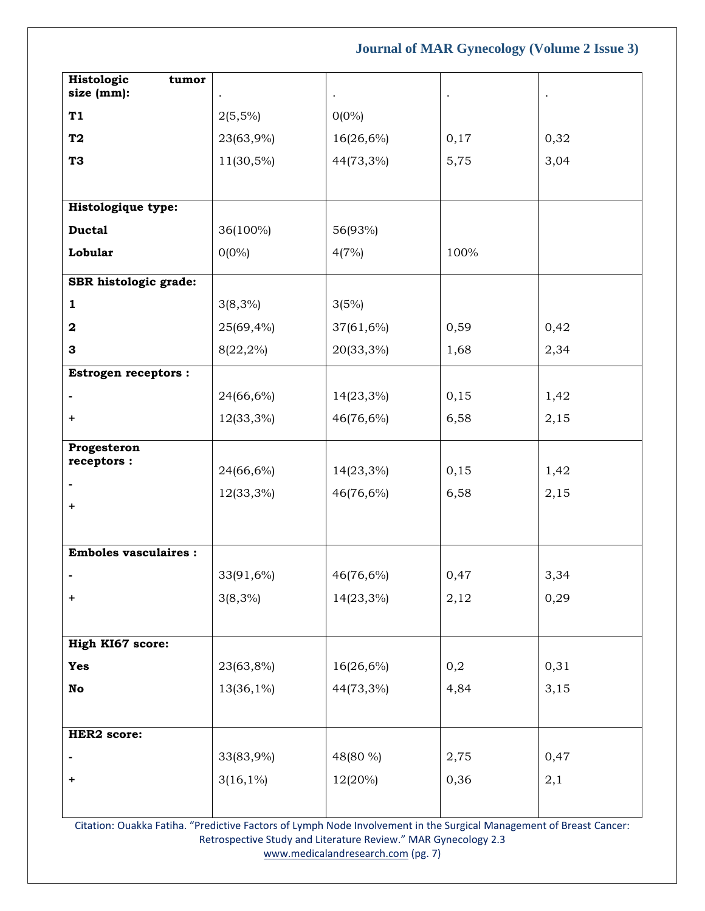| Histologic<br>tumor<br>size (mm): |             | $\bullet$ | $\bullet$ |      |
|-----------------------------------|-------------|-----------|-----------|------|
| T1                                | $2(5,5\%)$  | $0(0\%)$  |           |      |
| T <sub>2</sub>                    | 23(63,9%)   | 16(26,6%) | 0,17      | 0,32 |
| T <sub>3</sub>                    | 11(30,5%)   | 44(73,3%) | 5,75      | 3,04 |
|                                   |             |           |           |      |
| Histologique type:                |             |           |           |      |
| <b>Ductal</b>                     | 36(100%)    | 56(93%)   |           |      |
| Lobular                           | $0(0\%)$    | 4(7%)     | 100%      |      |
| SBR histologic grade:             |             |           |           |      |
| $\mathbf{1}$                      | $3(8,3\%)$  | 3(5%)     |           |      |
| $\mathbf 2$                       | 25(69,4%)   | 37(61,6%) | 0,59      | 0,42 |
| 3                                 | 8(22,2%)    | 20(33,3%) | 1,68      | 2,34 |
| <b>Estrogen receptors:</b>        |             |           |           |      |
|                                   | 24(66,6%)   | 14(23,3%) | 0,15      | 1,42 |
| +                                 | 12(33,3%)   | 46(76,6%) | 6,58      | 2,15 |
| Progesteron<br>receptors:         |             |           |           |      |
|                                   | 24(66,6%)   | 14(23,3%) | 0,15      | 1,42 |
| +                                 | 12(33,3%)   | 46(76,6%) | 6,58      | 2,15 |
|                                   |             |           |           |      |
| <b>Emboles vasculaires:</b>       |             |           |           |      |
|                                   |             |           | 0,47      | 3,34 |
|                                   | 33(91,6%)   | 46(76,6%) |           |      |
| +                                 | $3(8,3\%)$  | 14(23,3%) | 2,12      | 0,29 |
| High KI67 score:                  |             |           |           |      |
| <b>Yes</b>                        | 23(63,8%)   | 16(26,6%) | 0,2       | 0,31 |
|                                   |             |           |           |      |
| $\mathbf {No}$                    | 13(36,1%)   | 44(73,3%) | 4,84      | 3,15 |
|                                   |             |           |           |      |
| <b>HER2</b> score:                |             |           |           |      |
|                                   | 33(83,9%)   | 48(80 %)  | 2,75      | 0,47 |
| +                                 | $3(16,1\%)$ | 12(20%)   | 0,36      | 2,1  |
|                                   |             |           |           |      |

Citation: Ouakka Fatiha. "Predictive Factors of Lymph Node Involvement in the Surgical Management of Breast Cancer: Retrospective Study and Literature Review." MAR Gynecology 2.3 [www.medicalandresearch.com](http://www.medicalandresearch.com/) (pg. 7)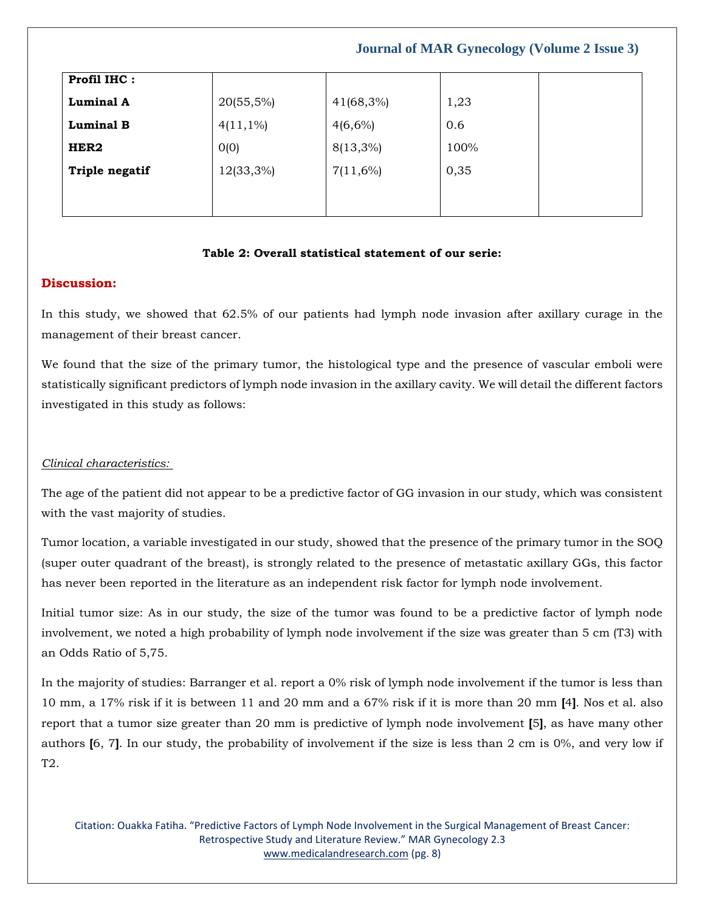| Profil IHC:      |              |              |      |  |
|------------------|--------------|--------------|------|--|
| <b>Luminal A</b> | $20(55,5\%)$ | $41(68,3\%)$ | 1,23 |  |
| <b>Luminal B</b> | $4(11,1\%)$  | $4(6,6\%)$   | 0.6  |  |
| HER2             | 0(0)         | 8(13,3%)     | 100% |  |
| Triple negatif   | 12(33,3%)    | $7(11,6\%)$  | 0,35 |  |
|                  |              |              |      |  |
|                  |              |              |      |  |

# **Table 2: Overall statistical statement of our serie:**

## **Discussion:**

In this study, we showed that 62.5% of our patients had lymph node invasion after axillary curage in the management of their breast cancer.

We found that the size of the primary tumor, the histological type and the presence of vascular emboli were statistically significant predictors of lymph node invasion in the axillary cavity. We will detail the different factors investigated in this study as follows:

### *Clinical characteristics:*

The age of the patient did not appear to be a predictive factor of GG invasion in our study, which was consistent with the vast majority of studies.

Tumor location, a variable investigated in our study, showed that the presence of the primary tumor in the SOQ (super outer quadrant of the breast), is strongly related to the presence of metastatic axillary GGs, this factor has never been reported in the literature as an independent risk factor for lymph node involvement.

Initial tumor size: As in our study, the size of the tumor was found to be a predictive factor of lymph node involvement, we noted a high probability of lymph node involvement if the size was greater than 5 cm (T3) with an Odds Ratio of 5,75.

In the majority of studies: Barranger et al. report a 0% risk of lymph node involvement if the tumor is less than 10 mm, a 17% risk if it is between 11 and 20 mm and a 67% risk if it is more than 20 mm **[**4**]**. Nos et al. also report that a tumor size greater than 20 mm is predictive of lymph node involvement **[**5**]**, as have many other authors **[**6, 7**]**. In our study, the probability of involvement if the size is less than 2 cm is 0%, and very low if T2.

Citation: Ouakka Fatiha. "Predictive Factors of Lymph Node Involvement in the Surgical Management of Breast Cancer: Retrospective Study and Literature Review." MAR Gynecology 2.3 [www.medicalandresearch.com](http://www.medicalandresearch.com/) (pg. 8)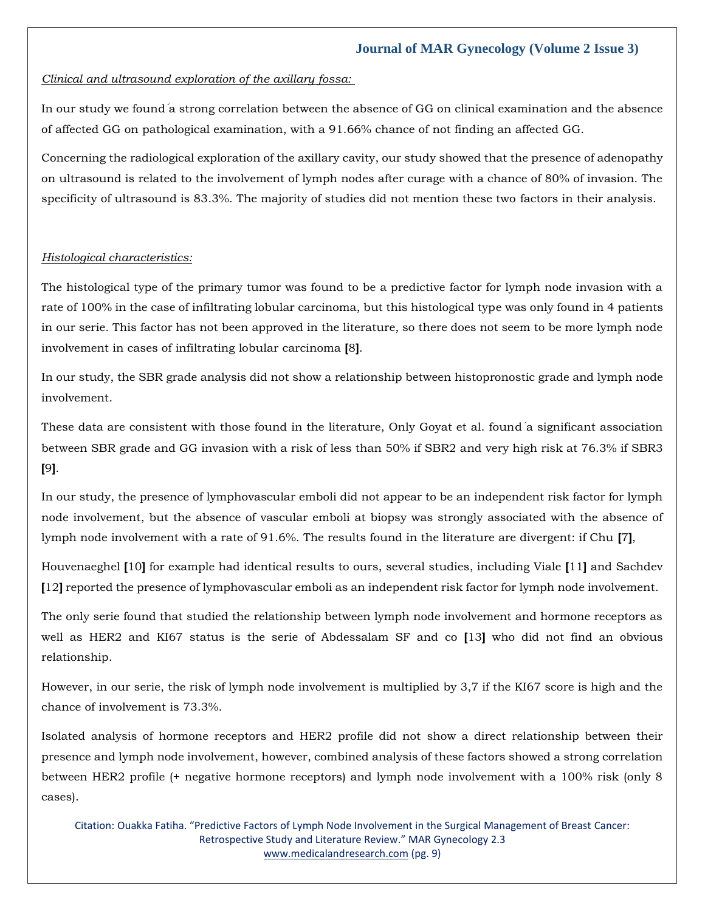#### *Clinical and ultrasound exploration of the axillary fossa:*

In our study we found́a strong correlation between the absence of GG on clinical examination and the absence of affected GG on pathological examination, with a 91.66% chance of not finding an affected GG.

Concerning the radiological exploration of the axillary cavity, our study showed that the presence of adenopathy on ultrasound is related to the involvement of lymph nodes after curage with a chance of 80% of invasion. The specificity of ultrasound is 83.3%. The majority of studies did not mention these two factors in their analysis.

#### *Histological characteristics:*

The histological type of the primary tumor was found to be a predictive factor for lymph node invasion with a rate of 100% in the case of infiltrating lobular carcinoma, but this histological type was only found in 4 patients in our serie. This factor has not been approved in the literature, so there does not seem to be more lymph node involvement in cases of infiltrating lobular carcinoma **[**8**]**.

In our study, the SBR grade analysis did not show a relationship between histopronostic grade and lymph node involvement.

These data are consistent with those found in the literature, Only Goyat et al. found́a significant association between SBR grade and GG invasion with a risk of less than 50% if SBR2 and very high risk at 76.3% if SBR3 **[**9**]**.

In our study, the presence of lymphovascular emboli did not appear to be an independent risk factor for lymph node involvement, but the absence of vascular emboli at biopsy was strongly associated with the absence of lymph node involvement with a rate of 91.6%. The results found in the literature are divergent: if Chu **[**7**]**,

Houvenaeghel **[**10**]** for example had identical results to ours, several studies, including Viale **[**11**]** and Sachdev **[**12**]** reported the presence of lymphovascular emboli as an independent risk factor for lymph node involvement.

The only serie found that studied the relationship between lymph node involvement and hormone receptors as well as HER2 and KI67 status is the serie of Abdessalam SF and co **[**13**]** who did not find an obvious relationship.

However, in our serie, the risk of lymph node involvement is multiplied by 3,7 if the KI67 score is high and the chance of involvement is 73.3%.

Isolated analysis of hormone receptors and HER2 profile did not show a direct relationship between their presence and lymph node involvement, however, combined analysis of these factors showed a strong correlation between HER2 profile (+ negative hormone receptors) and lymph node involvement with a 100% risk (only 8 cases).

Citation: Ouakka Fatiha. "Predictive Factors of Lymph Node Involvement in the Surgical Management of Breast Cancer: Retrospective Study and Literature Review." MAR Gynecology 2.3 [www.medicalandresearch.com](http://www.medicalandresearch.com/) (pg. 9)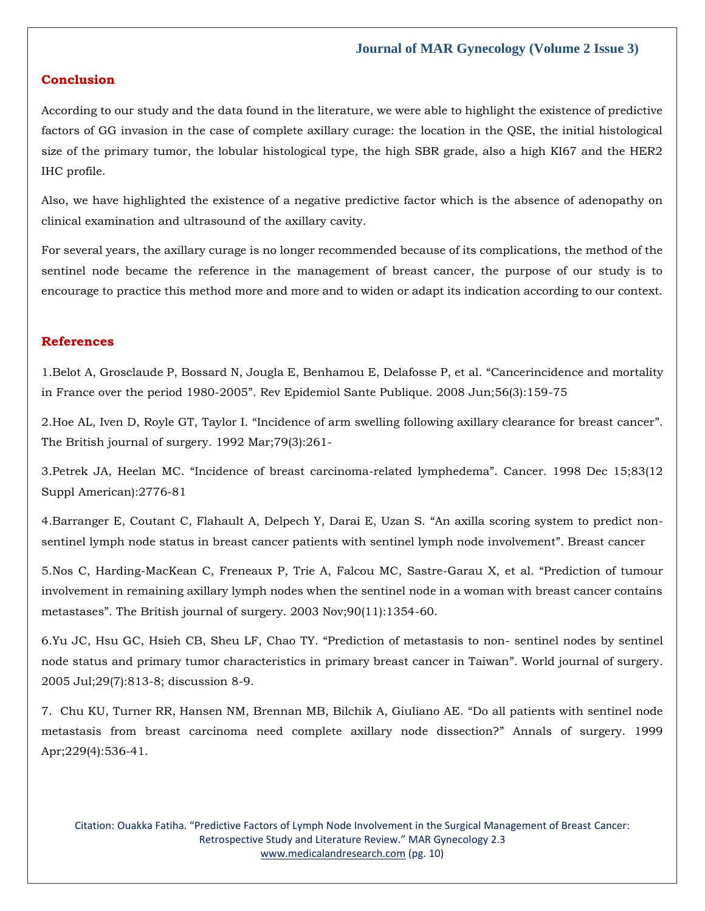# **Conclusion**

According to our study and the data found in the literature, we were able to highlight the existence of predictive factors of GG invasion in the case of complete axillary curage: the location in the QSE, the initial histological size of the primary tumor, the lobular histological type, the high SBR grade, also a high KI67 and the HER2 IHC profile.

Also, we have highlighted the existence of a negative predictive factor which is the absence of adenopathy on clinical examination and ultrasound of the axillary cavity.

For several years, the axillary curage is no longer recommended because of its complications, the method of the sentinel node became the reference in the management of breast cancer, the purpose of our study is to encourage to practice this method more and more and to widen or adapt its indication according to our context.

### **References**

1[.Belot A, Grosclaude P, Bossard N, Jougla E, Benhamou E, Delafosse P, et al.](https://www.google.com/search?q=Cancerincidence+and+mortality+in+France+over+the+period+1980-2005&oq=Cancerincidence+and+mortality+in+France+over+the+period+1980-2005&aqs=chrome..69i57.909j0j7&sourceid=chrome&ie=UTF-8) "Cancerincidence and mortality in France over the period 1980-2005"[. Rev Epidemiol Sante Publique. 2008 Jun;56\(3\):159-75](https://www.google.com/search?q=Cancerincidence+and+mortality+in+France+over+the+period+1980-2005&oq=Cancerincidence+and+mortality+in+France+over+the+period+1980-2005&aqs=chrome..69i57.909j0j7&sourceid=chrome&ie=UTF-8)

2.Hoe AL, Iven D, Royle GT, Taylor I. "[Incidence of arm swelling following axillary clearance for breast cancer](https://www.google.com/search?q=Incidence+of+arm+swelling+following+axillary+clearance+for+breast+cancer&sxsrf=AOaemvKnnSrCvZ-YzcEDYwIeSETn9VAiHA%3A1641393447923&ei=J63VYcO5N5Ta2roPvoul8Ac&ved=0ahUKEwiD6ZiL65r1AhUUrVYBHb5FCX4Q4dUDCA4&uact=5&oq=Incidence+of+arm+swelling+following+axillary+clearance+for+breast+cancer&gs_lcp=Cgdnd3Mtd2l6EAM6BwgjEOoCECdKBAhBGABKBAhGGABQvgZYvgZg5gpoAXACeACAAcoBiAHKAZIBAzItMZgBAKABAaABArABCsABAQ&sclient=gws-wiz)". [The British journal of surgery. 1992 Mar;79\(3\):261-](https://www.google.com/search?q=Incidence+of+arm+swelling+following+axillary+clearance+for+breast+cancer&sxsrf=AOaemvKnnSrCvZ-YzcEDYwIeSETn9VAiHA%3A1641393447923&ei=J63VYcO5N5Ta2roPvoul8Ac&ved=0ahUKEwiD6ZiL65r1AhUUrVYBHb5FCX4Q4dUDCA4&uact=5&oq=Incidence+of+arm+swelling+following+axillary+clearance+for+breast+cancer&gs_lcp=Cgdnd3Mtd2l6EAM6BwgjEOoCECdKBAhBGABKBAhGGABQvgZYvgZg5gpoAXACeACAAcoBiAHKAZIBAzItMZgBAKABAaABArABCsABAQ&sclient=gws-wiz)

3.Petrek JA, Heelan MC. "[Incidence of breast carcinoma-related lymphedema](https://www.google.com/search?q=Incidence+of+breast+carcinoma-related+lymphedema&sxsrf=AOaemvJAI-H2sTUGyD0xObIpTvxPo8QsPw%3A1641393480307&ei=SK3VYYCEEvTl2roP64GWyA8&ved=0ahUKEwiAyNGa65r1AhX0slYBHeuABfkQ4dUDCA4&uact=5&oq=Incidence+of+breast+carcinoma-related+lymphedema&gs_lcp=Cgdnd3Mtd2l6EAMyCAghEBYQHRAeMggIIRAWEB0QHjIICCEQFhAdEB4yCAghEBYQHRAeMggIIRAWEB0QHjIICCEQFhAdEB4yCAghEBYQHRAeMggIIRAWEB0QHjoHCCMQ6gIQJ0oECEEYAEoECEYYAFDZBVjZBWCCCGgBcAB4AIAB_AGIAfwBkgEDMi0xmAEAoAEBoAECsAEKwAEB&sclient=gws-wiz)". Cancer. 1998 Dec 15;83(12 [Suppl American\):2776-81](https://www.google.com/search?q=Incidence+of+breast+carcinoma-related+lymphedema&sxsrf=AOaemvJAI-H2sTUGyD0xObIpTvxPo8QsPw%3A1641393480307&ei=SK3VYYCEEvTl2roP64GWyA8&ved=0ahUKEwiAyNGa65r1AhX0slYBHeuABfkQ4dUDCA4&uact=5&oq=Incidence+of+breast+carcinoma-related+lymphedema&gs_lcp=Cgdnd3Mtd2l6EAMyCAghEBYQHRAeMggIIRAWEB0QHjIICCEQFhAdEB4yCAghEBYQHRAeMggIIRAWEB0QHjIICCEQFhAdEB4yCAghEBYQHRAeMggIIRAWEB0QHjoHCCMQ6gIQJ0oECEEYAEoECEYYAFDZBVjZBWCCCGgBcAB4AIAB_AGIAfwBkgEDMi0xmAEAoAEBoAECsAEKwAEB&sclient=gws-wiz)

4[.Barranger E, Coutant C, Flahault A, Delpech Y, Darai E, Uzan S.](https://www.google.com/search?q=An+axilla+scoring+system+to+predict+non-sentinel+lymph+node+status+in+breast+cancer+patients+with+sentinel+lymph+node+involvement&sxsrf=AOaemvIXPCckDIMuZu1T2Y58deq5kNTiUw%3A1641393502991&ei=Xq3VYa7qO9vk2roPyd6osAs&ved=0ahUKEwiukbql65r1AhVbslYBHUkvCrYQ4dUDCA4&uact=5&oq=An+axilla+scoring+system+to+predict+non-sentinel+lymph+node+status+in+breast+cancer+patients+with+sentinel+lymph+node+involvement&gs_lcp=Cgdnd3Mtd2l6EAMyBwgjEOoCECcyBwgjEOoCECcyBwgjEOoCECcyBwgjEOoCECcyBwgjEOoCECcyBwgjEOoCECcyBwgjEOoCECcyBwgjEOoCECcyBwgjEOoCECcyBwgjEOoCECdKBAhBGABKBAhGGABQkAZYkAZgyAloAXACeACAAQCIAQCSAQCYAQCgAQGgAQKwAQrAAQE&sclient=gws-wiz) "An axilla scoring system to predict non[sentinel lymph node status in breast cancer patients with sentinel lymph node involvement](https://www.google.com/search?q=An+axilla+scoring+system+to+predict+non-sentinel+lymph+node+status+in+breast+cancer+patients+with+sentinel+lymph+node+involvement&sxsrf=AOaemvIXPCckDIMuZu1T2Y58deq5kNTiUw%3A1641393502991&ei=Xq3VYa7qO9vk2roPyd6osAs&ved=0ahUKEwiukbql65r1AhVbslYBHUkvCrYQ4dUDCA4&uact=5&oq=An+axilla+scoring+system+to+predict+non-sentinel+lymph+node+status+in+breast+cancer+patients+with+sentinel+lymph+node+involvement&gs_lcp=Cgdnd3Mtd2l6EAMyBwgjEOoCECcyBwgjEOoCECcyBwgjEOoCECcyBwgjEOoCECcyBwgjEOoCECcyBwgjEOoCECcyBwgjEOoCECcyBwgjEOoCECcyBwgjEOoCECcyBwgjEOoCECdKBAhBGABKBAhGGABQkAZYkAZgyAloAXACeACAAQCIAQCSAQCYAQCgAQGgAQKwAQrAAQE&sclient=gws-wiz)". Breast cancer

5[.Nos C, Harding-MacKean C, Freneaux P, Trie A,](https://www.google.com/search?q=Prediction+of+tumour+involvement+in+remaining+axillary+lymph+nodes+when+the+sentinel+node+in+a+woman+with+breast+cancer+contains+metastases&sxsrf=AOaemvL3dBxf4XBR3vUmG47rng_wrnatPw%3A1641393519280&ei=b63VYYywEPSm2roP566z4Ao&ved=0ahUKEwjMo5yt65r1AhV0k1YBHWfXDKwQ4dUDCA4&uact=5&oq=Prediction+of+tumour+involvement+in+remaining+axillary+lymph+nodes+when+the+sentinel+node+in+a+woman+with+breast+cancer+contains+metastases&gs_lcp=Cgdnd3Mtd2l6EAMyBwgjEOoCECcyBwgjEOoCECcyBwgjEOoCECcyBwgjEOoCECcyBwgjEOoCECcyBwgjEOoCECcyBwgjEOoCECcyBwgjEOoCECcyBwgjEOoCECcyBwgjEOoCECdKBAhBGABKBAhGGABQgwZYgwZg0QloAXAAeACAAQCIAQCSAQCYAQCgAQGgAQKwAQrAAQE&sclient=gws-wiz) Falcou MC, Sastre-Garau X, et al. "Prediction of tumour [involvement in remaining axillary lymph nodes when the sentinel node in a woman with breast cancer contains](https://www.google.com/search?q=Prediction+of+tumour+involvement+in+remaining+axillary+lymph+nodes+when+the+sentinel+node+in+a+woman+with+breast+cancer+contains+metastases&sxsrf=AOaemvL3dBxf4XBR3vUmG47rng_wrnatPw%3A1641393519280&ei=b63VYYywEPSm2roP566z4Ao&ved=0ahUKEwjMo5yt65r1AhV0k1YBHWfXDKwQ4dUDCA4&uact=5&oq=Prediction+of+tumour+involvement+in+remaining+axillary+lymph+nodes+when+the+sentinel+node+in+a+woman+with+breast+cancer+contains+metastases&gs_lcp=Cgdnd3Mtd2l6EAMyBwgjEOoCECcyBwgjEOoCECcyBwgjEOoCECcyBwgjEOoCECcyBwgjEOoCECcyBwgjEOoCECcyBwgjEOoCECcyBwgjEOoCECcyBwgjEOoCECcyBwgjEOoCECdKBAhBGABKBAhGGABQgwZYgwZg0QloAXAAeACAAQCIAQCSAQCYAQCgAQGgAQKwAQrAAQE&sclient=gws-wiz)  metastases"[. The British journal of surgery. 2003 Nov;90\(11\):1354-60.](https://www.google.com/search?q=Prediction+of+tumour+involvement+in+remaining+axillary+lymph+nodes+when+the+sentinel+node+in+a+woman+with+breast+cancer+contains+metastases&sxsrf=AOaemvL3dBxf4XBR3vUmG47rng_wrnatPw%3A1641393519280&ei=b63VYYywEPSm2roP566z4Ao&ved=0ahUKEwjMo5yt65r1AhV0k1YBHWfXDKwQ4dUDCA4&uact=5&oq=Prediction+of+tumour+involvement+in+remaining+axillary+lymph+nodes+when+the+sentinel+node+in+a+woman+with+breast+cancer+contains+metastases&gs_lcp=Cgdnd3Mtd2l6EAMyBwgjEOoCECcyBwgjEOoCECcyBwgjEOoCECcyBwgjEOoCECcyBwgjEOoCECcyBwgjEOoCECcyBwgjEOoCECcyBwgjEOoCECcyBwgjEOoCECcyBwgjEOoCECdKBAhBGABKBAhGGABQgwZYgwZg0QloAXAAeACAAQCIAQCSAQCYAQCgAQGgAQKwAQrAAQE&sclient=gws-wiz)

6[.Yu JC, Hsu GC, Hsieh CB, Sheu LF, Chao TY.](https://www.google.com/search?q=Prediction+of+metastasis+to+non-+sentinel+nodes+by+sentinel+node+status+and+primary+tumor+characteristics+in+primary+breast+cancer+in+Taiwan&sxsrf=AOaemvJcuCogFEndcgzKouYANaMIN3y9gw%3A1641393551982&ei=j63VYYSZO_bk2roP7M2GqAQ&ved=0ahUKEwjEnOi865r1AhV2slYBHeymAUUQ4dUDCA4&uact=5&oq=Prediction+of+metastasis+to+non-+sentinel+nodes+by+sentinel+node+status+and+primary+tumor+characteristics+in+primary+breast+cancer+in+Taiwan&gs_lcp=Cgdnd3Mtd2l6EAMyBwgjEOoCECcyBwgjEOoCECcyBwgjEOoCECcyBwgjEOoCECcyBwgjEOoCECcyBwgjEOoCECcyBwgjEOoCECcyBwgjEOoCECcyBwgjEOoCECcyBwgjEOoCECdKBAhBGABKBAhGGABQqgZYqgZgjBBoAXAAeACAAQCIAQCSAQCYAQCgAQGgAQKwAQrAAQE&sclient=gws-wiz) "Prediction of metastasis to non- sentinel nodes by sentinel [node status and primary tumor characteristics in primary breast cancer in Taiwan](https://www.google.com/search?q=Prediction+of+metastasis+to+non-+sentinel+nodes+by+sentinel+node+status+and+primary+tumor+characteristics+in+primary+breast+cancer+in+Taiwan&sxsrf=AOaemvJcuCogFEndcgzKouYANaMIN3y9gw%3A1641393551982&ei=j63VYYSZO_bk2roP7M2GqAQ&ved=0ahUKEwjEnOi865r1AhV2slYBHeymAUUQ4dUDCA4&uact=5&oq=Prediction+of+metastasis+to+non-+sentinel+nodes+by+sentinel+node+status+and+primary+tumor+characteristics+in+primary+breast+cancer+in+Taiwan&gs_lcp=Cgdnd3Mtd2l6EAMyBwgjEOoCECcyBwgjEOoCECcyBwgjEOoCECcyBwgjEOoCECcyBwgjEOoCECcyBwgjEOoCECcyBwgjEOoCECcyBwgjEOoCECcyBwgjEOoCECcyBwgjEOoCECdKBAhBGABKBAhGGABQqgZYqgZgjBBoAXAAeACAAQCIAQCSAQCYAQCgAQGgAQKwAQrAAQE&sclient=gws-wiz)". World journal of surgery. [2005 Jul;29\(7\):813-8; discussion 8-9.](https://www.google.com/search?q=Prediction+of+metastasis+to+non-+sentinel+nodes+by+sentinel+node+status+and+primary+tumor+characteristics+in+primary+breast+cancer+in+Taiwan&sxsrf=AOaemvJcuCogFEndcgzKouYANaMIN3y9gw%3A1641393551982&ei=j63VYYSZO_bk2roP7M2GqAQ&ved=0ahUKEwjEnOi865r1AhV2slYBHeymAUUQ4dUDCA4&uact=5&oq=Prediction+of+metastasis+to+non-+sentinel+nodes+by+sentinel+node+status+and+primary+tumor+characteristics+in+primary+breast+cancer+in+Taiwan&gs_lcp=Cgdnd3Mtd2l6EAMyBwgjEOoCECcyBwgjEOoCECcyBwgjEOoCECcyBwgjEOoCECcyBwgjEOoCECcyBwgjEOoCECcyBwgjEOoCECcyBwgjEOoCECcyBwgjEOoCECcyBwgjEOoCECdKBAhBGABKBAhGGABQqgZYqgZgjBBoAXAAeACAAQCIAQCSAQCYAQCgAQGgAQKwAQrAAQE&sclient=gws-wiz)

7. [Chu KU, Turner RR, Hansen NM, Brennan MB, Bilchik A, Giuliano AE.](https://www.google.com/search?q=Do+all+patients+with+sentinel+node+metastasis+from+breast+carcinoma+need+complete+axillary+node+dissection%3F&sxsrf=AOaemvJTCrCWHT_FyZg9sH51EQZrFfopSg%3A1641393571273&ei=o63VYZDyD_ve2roP6_KX0AI&ved=0ahUKEwjQz4HG65r1AhV7r1YBHWv5BSoQ4dUDCA4&uact=5&oq=Do+all+patients+with+sentinel+node+metastasis+from+breast+carcinoma+need+complete+axillary+node+dissection%3F&gs_lcp=Cgdnd3Mtd2l6EAMyBwgjEOoCECcyBwgjEOoCECcyBwgjEOoCECcyBwgjEOoCECcyBwgjEOoCECcyBwgjEOoCECcyBwgjEOoCECcyBwgjEOoCECcyBwgjEOoCECcyBwgjEOoCECdKBAhBGABKBAhGGABQwwZYxhpg3SBoAXAAeACAAQCIAQCSAQCYAQCgAQGgAQKwAQrAAQE&sclient=gws-wiz) "Do all patients with sentinel node [metastasis from breast carcinoma need complete axillary node dissection?](https://www.google.com/search?q=Do+all+patients+with+sentinel+node+metastasis+from+breast+carcinoma+need+complete+axillary+node+dissection%3F&sxsrf=AOaemvJTCrCWHT_FyZg9sH51EQZrFfopSg%3A1641393571273&ei=o63VYZDyD_ve2roP6_KX0AI&ved=0ahUKEwjQz4HG65r1AhV7r1YBHWv5BSoQ4dUDCA4&uact=5&oq=Do+all+patients+with+sentinel+node+metastasis+from+breast+carcinoma+need+complete+axillary+node+dissection%3F&gs_lcp=Cgdnd3Mtd2l6EAMyBwgjEOoCECcyBwgjEOoCECcyBwgjEOoCECcyBwgjEOoCECcyBwgjEOoCECcyBwgjEOoCECcyBwgjEOoCECcyBwgjEOoCECcyBwgjEOoCECcyBwgjEOoCECdKBAhBGABKBAhGGABQwwZYxhpg3SBoAXAAeACAAQCIAQCSAQCYAQCgAQGgAQKwAQrAAQE&sclient=gws-wiz)" Annals of surgery. 1999 [Apr;229\(4\):536-41.](https://www.google.com/search?q=Do+all+patients+with+sentinel+node+metastasis+from+breast+carcinoma+need+complete+axillary+node+dissection%3F&sxsrf=AOaemvJTCrCWHT_FyZg9sH51EQZrFfopSg%3A1641393571273&ei=o63VYZDyD_ve2roP6_KX0AI&ved=0ahUKEwjQz4HG65r1AhV7r1YBHWv5BSoQ4dUDCA4&uact=5&oq=Do+all+patients+with+sentinel+node+metastasis+from+breast+carcinoma+need+complete+axillary+node+dissection%3F&gs_lcp=Cgdnd3Mtd2l6EAMyBwgjEOoCECcyBwgjEOoCECcyBwgjEOoCECcyBwgjEOoCECcyBwgjEOoCECcyBwgjEOoCECcyBwgjEOoCECcyBwgjEOoCECcyBwgjEOoCECcyBwgjEOoCECdKBAhBGABKBAhGGABQwwZYxhpg3SBoAXAAeACAAQCIAQCSAQCYAQCgAQGgAQKwAQrAAQE&sclient=gws-wiz)

Citation: Ouakka Fatiha. "Predictive Factors of Lymph Node Involvement in the Surgical Management of Breast Cancer: Retrospective Study and Literature Review." MAR Gynecology 2.3 [www.medicalandresearch.com](http://www.medicalandresearch.com/) (pg. 10)